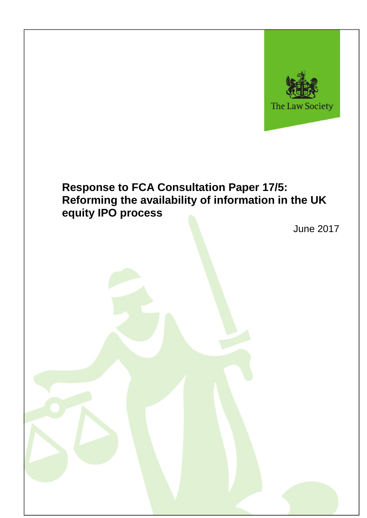

# **Response to FCA Consultation Paper 17/5: Reforming the availability of information in the UK equity IPO process**

June 2017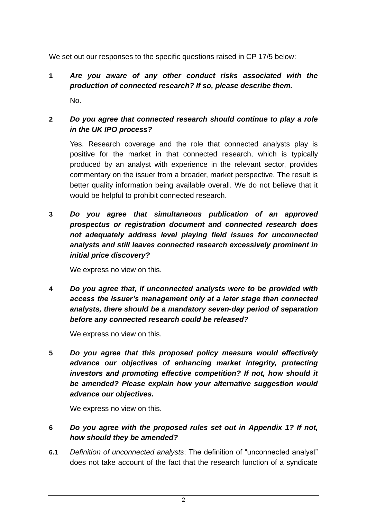We set out our responses to the specific questions raised in CP 17/5 below:

**1** *Are you aware of any other conduct risks associated with the production of connected research? If so, please describe them.* No.

#### **2** *Do you agree that connected research should continue to play a role in the UK IPO process?*

Yes. Research coverage and the role that connected analysts play is positive for the market in that connected research, which is typically produced by an analyst with experience in the relevant sector, provides commentary on the issuer from a broader, market perspective. The result is better quality information being available overall. We do not believe that it would be helpful to prohibit connected research.

**3** *Do you agree that simultaneous publication of an approved prospectus or registration document and connected research does not adequately address level playing field issues for unconnected analysts and still leaves connected research excessively prominent in initial price discovery?*

We express no view on this.

**4** *Do you agree that, if unconnected analysts were to be provided with access the issuer's management only at a later stage than connected analysts, there should be a mandatory seven-day period of separation before any connected research could be released?*

We express no view on this.

**5** *Do you agree that this proposed policy measure would effectively advance our objectives of enhancing market integrity, protecting investors and promoting effective competition? If not, how should it be amended? Please explain how your alternative suggestion would advance our objectives.*

We express no view on this.

### **6** *Do you agree with the proposed rules set out in Appendix 1? If not, how should they be amended?*

**6.1** *Definition of unconnected analysts*: The definition of "unconnected analyst" does not take account of the fact that the research function of a syndicate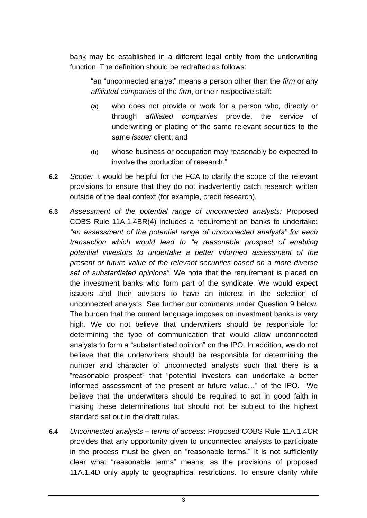bank may be established in a different legal entity from the underwriting function. The definition should be redrafted as follows:

"an "unconnected analyst" means a person other than the *firm* or any *affiliated companies* of the *firm*, or their respective staff:

- (a) who does not provide or work for a person who, directly or through *affiliated companies* provide, the service of underwriting or placing of the same relevant securities to the same *issuer* client; and
- (b) whose business or occupation may reasonably be expected to involve the production of research."
- **6.2** *Scope:* It would be helpful for the FCA to clarify the scope of the relevant provisions to ensure that they do not inadvertently catch research written outside of the deal context (for example, credit research)*.*
- **6.3** *Assessment of the potential range of unconnected analysts:* Proposed COBS Rule 11A.1.4BR(4) includes a requirement on banks to undertake: *"an assessment of the potential range of unconnected analysts" for each transaction which would lead to "a reasonable prospect of enabling potential investors to undertake a better informed assessment of the present or future value of the relevant securities based on a more diverse set of substantiated opinions"*. We note that the requirement is placed on the investment banks who form part of the syndicate. We would expect issuers and their advisers to have an interest in the selection of unconnected analysts. See further our comments under Question 9 below. The burden that the current language imposes on investment banks is very high. We do not believe that underwriters should be responsible for determining the type of communication that would allow unconnected analysts to form a "substantiated opinion" on the IPO. In addition, we do not believe that the underwriters should be responsible for determining the number and character of unconnected analysts such that there is a "reasonable prospect" that "potential investors can undertake a better informed assessment of the present or future value…" of the IPO. We believe that the underwriters should be required to act in good faith in making these determinations but should not be subject to the highest standard set out in the draft rules.
- **6.4** *Unconnected analysts – terms of access*: Proposed COBS Rule 11A.1.4CR provides that any opportunity given to unconnected analysts to participate in the process must be given on "reasonable terms." It is not sufficiently clear what "reasonable terms" means, as the provisions of proposed 11A.1.4D only apply to geographical restrictions. To ensure clarity while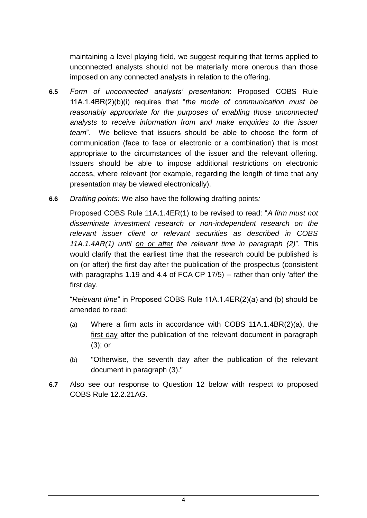maintaining a level playing field, we suggest requiring that terms applied to unconnected analysts should not be materially more onerous than those imposed on any connected analysts in relation to the offering.

- **6.5** *Form of unconnected analysts' presentation*: Proposed COBS Rule 11A.1.4BR(2)(b)(i) requires that "*the mode of communication must be reasonably appropriate for the purposes of enabling those unconnected analysts to receive information from and make enquiries to the issuer team*". We believe that issuers should be able to choose the form of communication (face to face or electronic or a combination) that is most appropriate to the circumstances of the issuer and the relevant offering. Issuers should be able to impose additional restrictions on electronic access, where relevant (for example, regarding the length of time that any presentation may be viewed electronically).
- **6.6** *Drafting points:* We also have the following drafting points*:*

Proposed COBS Rule 11A.1.4ER(1) to be revised to read: "*A firm must not disseminate investment research or non-independent research on the relevant issuer client or relevant securities as described in COBS 11A.1.4AR(1) until on or after the relevant time in paragraph (2)*"*.* This would clarify that the earliest time that the research could be published is on (or after) the first day after the publication of the prospectus (consistent with paragraphs 1.19 and 4.4 of FCA CP 17/5) – rather than only 'after' the first day.

"*Relevant time*" in Proposed COBS Rule 11A.1.4ER(2)(a) and (b) should be amended to read:

- (a) Where a firm acts in accordance with COBS 11A.1.4BR(2)(a), the first day after the publication of the relevant document in paragraph (3); or
- (b) "Otherwise, the seventh day after the publication of the relevant document in paragraph (3)."
- **6.7** Also see our response to Question 12 below with respect to proposed COBS Rule 12.2.21AG.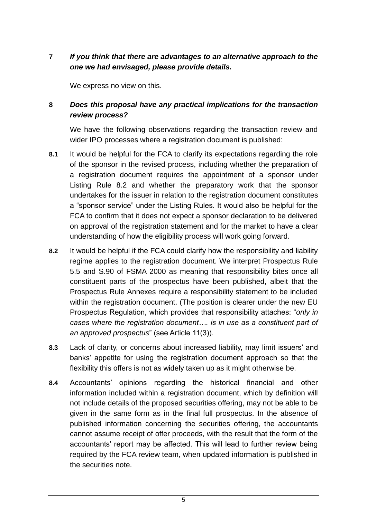# **7** *If you think that there are advantages to an alternative approach to the one we had envisaged, please provide details.*

We express no view on this.

## **8** *Does this proposal have any practical implications for the transaction review process?*

We have the following observations regarding the transaction review and wider IPO processes where a registration document is published:

- **8.1** It would be helpful for the FCA to clarify its expectations regarding the role of the sponsor in the revised process, including whether the preparation of a registration document requires the appointment of a sponsor under Listing Rule 8.2 and whether the preparatory work that the sponsor undertakes for the issuer in relation to the registration document constitutes a "sponsor service" under the Listing Rules. It would also be helpful for the FCA to confirm that it does not expect a sponsor declaration to be delivered on approval of the registration statement and for the market to have a clear understanding of how the eligibility process will work going forward.
- **8.2** It would be helpful if the FCA could clarify how the responsibility and liability regime applies to the registration document. We interpret Prospectus Rule 5.5 and S.90 of FSMA 2000 as meaning that responsibility bites once all constituent parts of the prospectus have been published, albeit that the Prospectus Rule Annexes require a responsibility statement to be included within the registration document. (The position is clearer under the new EU Prospectus Regulation, which provides that responsibility attaches: "*only in cases where the registration document…. is in use as a constituent part of an approved prospectus*" (see Article 11(3)).
- **8.3** Lack of clarity, or concerns about increased liability, may limit issuers' and banks' appetite for using the registration document approach so that the flexibility this offers is not as widely taken up as it might otherwise be.
- **8.4** Accountants' opinions regarding the historical financial and other information included within a registration document, which by definition will not include details of the proposed securities offering, may not be able to be given in the same form as in the final full prospectus. In the absence of published information concerning the securities offering, the accountants cannot assume receipt of offer proceeds, with the result that the form of the accountants' report may be affected. This will lead to further review being required by the FCA review team, when updated information is published in the securities note.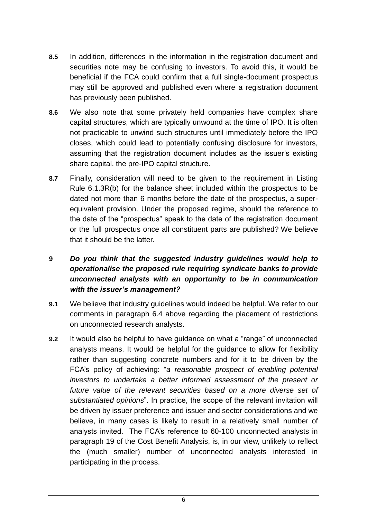- **8.5** In addition, differences in the information in the registration document and securities note may be confusing to investors. To avoid this, it would be beneficial if the FCA could confirm that a full single-document prospectus may still be approved and published even where a registration document has previously been published.
- **8.6** We also note that some privately held companies have complex share capital structures, which are typically unwound at the time of IPO. It is often not practicable to unwind such structures until immediately before the IPO closes, which could lead to potentially confusing disclosure for investors, assuming that the registration document includes as the issuer's existing share capital, the pre-IPO capital structure.
- **8.7** Finally, consideration will need to be given to the requirement in Listing Rule 6.1.3R(b) for the balance sheet included within the prospectus to be dated not more than 6 months before the date of the prospectus, a superequivalent provision. Under the proposed regime, should the reference to the date of the "prospectus" speak to the date of the registration document or the full prospectus once all constituent parts are published? We believe that it should be the latter.

## **9** *Do you think that the suggested industry guidelines would help to operationalise the proposed rule requiring syndicate banks to provide unconnected analysts with an opportunity to be in communication with the issuer's management?*

- **9.1** We believe that industry guidelines would indeed be helpful. We refer to our comments in paragraph 6.4 above regarding the placement of restrictions on unconnected research analysts.
- **9.2** It would also be helpful to have guidance on what a "range" of unconnected analysts means. It would be helpful for the guidance to allow for flexibility rather than suggesting concrete numbers and for it to be driven by the FCA's policy of achieving: "*a reasonable prospect of enabling potential investors to undertake a better informed assessment of the present or*  future value of the relevant securities based on a more diverse set of *substantiated opinions*". In practice, the scope of the relevant invitation will be driven by issuer preference and issuer and sector considerations and we believe, in many cases is likely to result in a relatively small number of analysts invited. The FCA's reference to 60-100 unconnected analysts in paragraph 19 of the Cost Benefit Analysis, is, in our view, unlikely to reflect the (much smaller) number of unconnected analysts interested in participating in the process.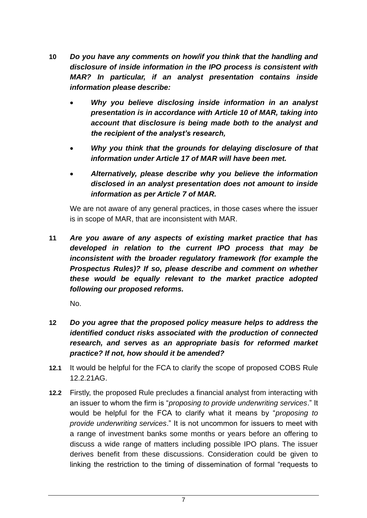- **10** *Do you have any comments on how/if you think that the handling and disclosure of inside information in the IPO process is consistent with MAR? In particular, if an analyst presentation contains inside information please describe:*
	- *Why you believe disclosing inside information in an analyst presentation is in accordance with Article 10 of MAR, taking into account that disclosure is being made both to the analyst and the recipient of the analyst's research,*
	- *Why you think that the grounds for delaying disclosure of that information under Article 17 of MAR will have been met.*
	- *Alternatively, please describe why you believe the information disclosed in an analyst presentation does not amount to inside information as per Article 7 of MAR.*

We are not aware of any general practices, in those cases where the issuer is in scope of MAR, that are inconsistent with MAR.

**11** *Are you aware of any aspects of existing market practice that has developed in relation to the current IPO process that may be inconsistent with the broader regulatory framework (for example the Prospectus Rules)? If so, please describe and comment on whether these would be equally relevant to the market practice adopted following our proposed reforms.*

No.

- **12** *Do you agree that the proposed policy measure helps to address the identified conduct risks associated with the production of connected research, and serves as an appropriate basis for reformed market practice? If not, how should it be amended?*
- **12.1** It would be helpful for the FCA to clarify the scope of proposed COBS Rule 12.2.21AG.
- **12.2** Firstly, the proposed Rule precludes a financial analyst from interacting with an issuer to whom the firm is "*proposing to provide underwriting services*." It would be helpful for the FCA to clarify what it means by "*proposing to provide underwriting services*." It is not uncommon for issuers to meet with a range of investment banks some months or years before an offering to discuss a wide range of matters including possible IPO plans. The issuer derives benefit from these discussions. Consideration could be given to linking the restriction to the timing of dissemination of formal "requests to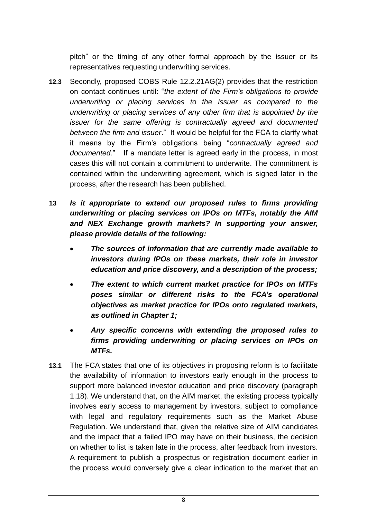pitch" or the timing of any other formal approach by the issuer or its representatives requesting underwriting services.

- **12.3** Secondly, proposed COBS Rule 12.2.21AG(2) provides that the restriction on contact continues until: "*the extent of the Firm's obligations to provide underwriting or placing services to the issuer as compared to the underwriting or placing services of any other firm that is appointed by the issuer for the same offering is contractually agreed and documented between the firm and issuer*." It would be helpful for the FCA to clarify what it means by the Firm's obligations being "*contractually agreed and documented*." If a mandate letter is agreed early in the process, in most cases this will not contain a commitment to underwrite. The commitment is contained within the underwriting agreement, which is signed later in the process, after the research has been published.
- **13** *Is it appropriate to extend our proposed rules to firms providing underwriting or placing services on IPOs on MTFs, notably the AIM and NEX Exchange growth markets? In supporting your answer, please provide details of the following:*
	- *The sources of information that are currently made available to investors during IPOs on these markets, their role in investor education and price discovery, and a description of the process;*
	- *The extent to which current market practice for IPOs on MTFs poses similar or different risks to the FCA's operational objectives as market practice for IPOs onto regulated markets, as outlined in Chapter 1;*
	- *Any specific concerns with extending the proposed rules to firms providing underwriting or placing services on IPOs on MTFs.*
- **13.1** The FCA states that one of its objectives in proposing reform is to facilitate the availability of information to investors early enough in the process to support more balanced investor education and price discovery (paragraph 1.18). We understand that, on the AIM market, the existing process typically involves early access to management by investors, subject to compliance with legal and regulatory requirements such as the Market Abuse Regulation. We understand that, given the relative size of AIM candidates and the impact that a failed IPO may have on their business, the decision on whether to list is taken late in the process, after feedback from investors. A requirement to publish a prospectus or registration document earlier in the process would conversely give a clear indication to the market that an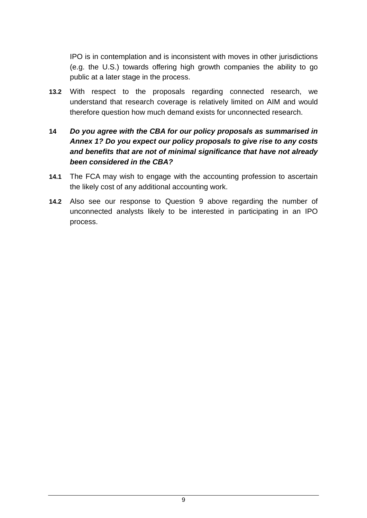IPO is in contemplation and is inconsistent with moves in other jurisdictions (e.g. the U.S.) towards offering high growth companies the ability to go public at a later stage in the process.

**13.2** With respect to the proposals regarding connected research, we understand that research coverage is relatively limited on AIM and would therefore question how much demand exists for unconnected research.

#### **14** *Do you agree with the CBA for our policy proposals as summarised in Annex 1? Do you expect our policy proposals to give rise to any costs and benefits that are not of minimal significance that have not already been considered in the CBA?*

- **14.1** The FCA may wish to engage with the accounting profession to ascertain the likely cost of any additional accounting work.
- **14.2** Also see our response to Question 9 above regarding the number of unconnected analysts likely to be interested in participating in an IPO process.